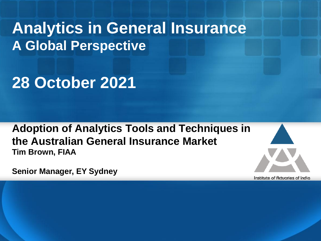**Analytics in General Insurance A Global Perspective**

**28 October 2021**

**Adoption of Analytics Tools and Techniques in the Australian General Insurance Market Tim Brown, FIAA**



**Senior Manager, EY Sydney**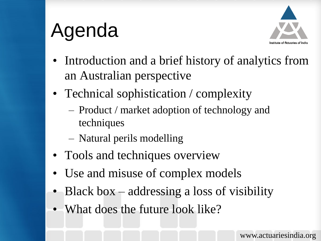# Agenda



- Introduction and a brief history of analytics from an Australian perspective
- Technical sophistication / complexity
	- Product / market adoption of technology and techniques
	- Natural perils modelling
- Tools and techniques overview
- Use and misuse of complex models
- Black box addressing a loss of visibility
- What does the future look like?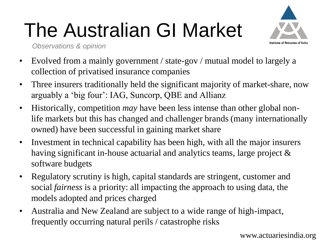# The Australian GI Market



*Observations & opinion*

- Evolved from a mainly government / state-gov / mutual model to largely a collection of privatised insurance companies
- Three insurers traditionally held the significant majority of market-share, now arguably a 'big four': IAG, Suncorp, QBE and Allianz
- Historically, competition *may* have been less intense than other global nonlife markets but this has changed and challenger brands (many internationally owned) have been successful in gaining market share
- Investment in technical capability has been high, with all the major insurers having significant in-house actuarial and analytics teams, large project & software budgets
- Regulatory scrutiny is high, capital standards are stringent, customer and social *fairness* is a priority: all impacting the approach to using data, the models adopted and prices charged
- Australia and New Zealand are subject to a wide range of high-impact, frequently occurring natural perils / catastrophe risks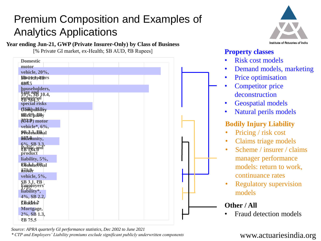## Premium Composition and Examples of Analytics Applications

**Year ending Jun-21, GWP (Private Insurer-Only) by Class of Business**

[% Private GI market, ex-Health; \$B AUD, ₹B Rupees]

| <b>Domestic</b>                                |  |
|------------------------------------------------|--|
| motor                                          |  |
| vehicle, 20%,                                  |  |
| <b>SPUSE OVERTS</b>                            |  |
| 680.5                                          |  |
| householders,                                  |  |
| <b>Fire and 10.4,</b>                          |  |
| induśtrial<br><b 584.3<="" th=""><th></th></b> |  |
| special risks                                  |  |
| <b>CSRpullSby</b>                              |  |
|                                                |  |
| <b>862.P</b> ) motor                           |  |
| vehicle*, 6%,                                  |  |
| <b>PBofessional</b>                            |  |
| hidemnity,                                     |  |
|                                                |  |
| 6%, \$B 3.3,<br>Public and                     |  |
| product                                        |  |
| liability, 5%,                                 |  |
| <b>SBruheFBial</b>                             |  |
| h7dt0r                                         |  |
| vehicle, 5%,                                   |  |
| $\frac{\$B~3.1, \Epsilon}{\$mplovers}$         |  |
| liability*,                                    |  |
| 4%, \$B 2.2,                                   |  |
|                                                |  |
| <b>EBndet:2</b>                                |  |
| Mortgage,                                      |  |
| 2%, \$B 1.3,                                   |  |
| ₹B 75.5                                        |  |

Institute of Actuaries of India

#### **Property classes**

- Risk cost models
- Demand models, marketing
- Price optimisation
- Competitor price deconstruction
- Geospatial models
- Natural perils models

#### **Bodily Injury Liability**

- Pricing / risk cost
- Claims triage models
- Scheme / insurer / claims manager performance models: return to work, continuance rates
- **Regulatory supervision** models

### **Other / All**

• Fraud detection models

www.actuariesindia.org

*Source: APRA quarterly GI performance statistics, Dec 2002 to June 2021 \* CTP and Employers' Liability premiums exclude significant publicly underwritten components*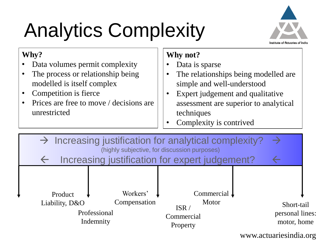# Analytics Complexity



### **Why?**

- Data volumes permit complexity
- The process or relationship being modelled is itself complex
- Competition is fierce
- Prices are free to move / decisions are unrestricted

## **Why not?**

- Data is sparse
- The relationships being modelled are simple and well-understood
- Expert judgement and qualitative assessment are superior to analytical techniques
- Complexity is contrived

| $\rightarrow$ Increasing justification for analytical complexity?<br>(highly subjective, for discussion purposes)<br>Increasing justification for expert judgement? |                                                       |                                                                  |  |                                              |
|---------------------------------------------------------------------------------------------------------------------------------------------------------------------|-------------------------------------------------------|------------------------------------------------------------------|--|----------------------------------------------|
| Product<br>Liability, D&O                                                                                                                                           | Workers'<br>Compensation<br>Professional<br>Indemnity | Commercial $\sqrt{ }$<br>Motor<br>ISR/<br>Commercial<br>Property |  | Short-tail<br>personal lines:<br>motor, home |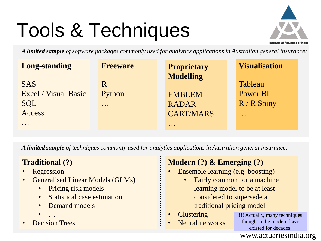# Tools & Techniques



*A limited sample of software packages commonly used for analytics applications in Australian general insurance:*

| <b>Long-standing</b>        | <b>Freeware</b>                                                                         | <b>Proprietary</b>                                                       | <b>Visualisation</b>                   |
|-----------------------------|-----------------------------------------------------------------------------------------|--------------------------------------------------------------------------|----------------------------------------|
|                             |                                                                                         | <b>Modelling</b>                                                         |                                        |
| <b>SAS</b>                  | R                                                                                       |                                                                          | <b>Tableau</b>                         |
| <b>Excel</b> / Visual Basic | Python                                                                                  | <b>EMBLEM</b>                                                            | Power BI                               |
| <b>SQL</b>                  | $\bullet\hspace{0.1cm} \bullet\hspace{0.1cm}\bullet\hspace{0.1cm}\bullet\hspace{0.1cm}$ | <b>RADAR</b>                                                             | $R/R$ Shiny                            |
| Access                      |                                                                                         | <b>CART/MARS</b>                                                         | $\bullet\quad\bullet\quad\bullet\quad$ |
| $\bullet\bullet\bullet$     |                                                                                         | $\bullet\hspace{0.1cm}\bullet\hspace{0.1cm}\bullet\hspace{0.1cm}\bullet$ |                                        |

*A limited sample of techniques commonly used for analytics applications in Australian general insurance:*

### **Traditional (?)**

- **Regression**
- Generalised Linear Models (GLMs)
	- Pricing risk models
	- Statistical case estimation
	- Demand models
	- …
- Decision Trees

### **Modern (?) & Emerging (?)**

- Ensemble learning (e.g. boosting)
	- Fairly common for a machine learning model to be at least considered to supersede a traditional pricing model
- **Clustering**
- Neural networks

!!! Actually, many techniques thought to be modern have existed for decades!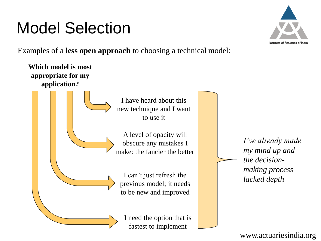## Model Selection

Examples of a **less open approach** to choosing a technical model:



nstitute of Actuaries of Indic

*I've already made my mind up and the decisionmaking process lacked depth*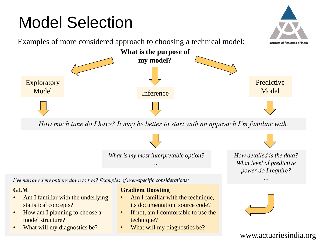## Model Selection



*How much time do I have? It may be better to start with an approach I'm familiar with.*

*What is my most interpretable option? …*

*How detailed is the data? What level of predictive power do I require?*

*…*

*I've narrowed my options down to two? Examples of user-specific considerations:*

#### **GLM**

- Am I familiar with the underlying statistical concepts?
- How am I planning to choose a model structure?
- What will my diagnostics be?

#### **Gradient Boosting**

- Am I familiar with the technique, its documentation, source code?
- If not, am I comfortable to use the technique?
- What will my diagnostics be?

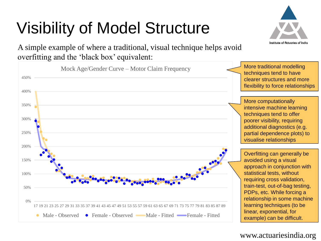# Visibility of Model Structure

A simple example of where a traditional, visual technique helps avoid overfitting and the 'black box' equivalent:



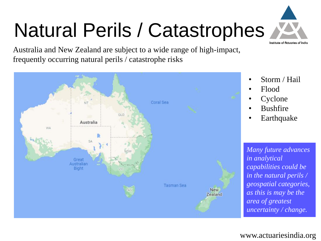# Natural Perils / Catastrophes





• Storm / Hail

Institute of Actuories of India

- Flood
- **Cyclone**
- **Bushfire**
- **Earthquake**

*Many future advances in analytical capabilities could be in the natural perils / geospatial categories, as this is may be the area of greatest uncertainty / change.*